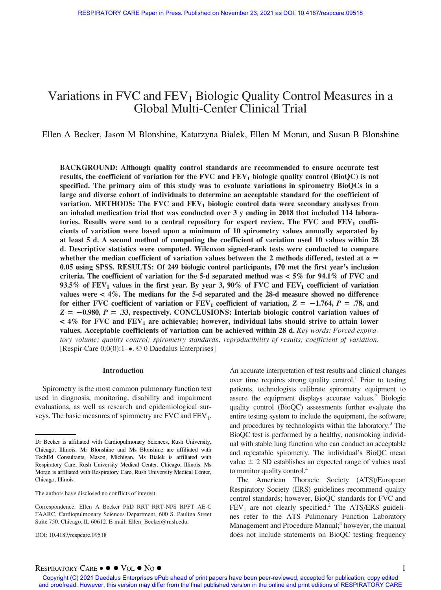# Variations in FVC and  $FEV<sub>1</sub>$  Biologic Quality Control Measures in a Global Multi-Center Clinical Trial

Ellen A Becker, Jason M Blonshine, Katarzyna Bialek, Ellen M Moran, and Susan B Blonshine

BACKGROUND: Although quality control standards are recommended to ensure accurate test results, the coefficient of variation for the FVC and  $FEV<sub>1</sub>$  biologic quality control (BioQC) is not specified. The primary aim of this study was to evaluate variations in spirometry BioQCs in a large and diverse cohort of individuals to determine an acceptable standard for the coefficient of variation. METHODS: The FVC and  $FEV<sub>1</sub>$  biologic control data were secondary analyses from an inhaled medication trial that was conducted over 3 y ending in 2018 that included 114 laboratories. Results were sent to a central repository for expert review. The FVC and  $FEV<sub>1</sub>$  coefficients of variation were based upon a minimum of 10 spirometry values annually separated by at least 5 d. A second method of computing the coefficient of variation used 10 values within 28 d. Descriptive statistics were computed. Wilcoxon signed-rank tests were conducted to compare whether the median coefficient of variation values between the 2 methods differed, tested at  $\alpha =$ 0.05 using SPSS. RESULTS: Of 249 biologic control participants, 170 met the first year's inclusion criteria. The coefficient of variation for the 5-d separated method was  $< 5\%$  for 94.1% of FVC and 93.5% of  $FEV<sub>1</sub>$  values in the first year. By year 3, 90% of FVC and  $FEV<sub>1</sub>$  coefficient of variation values were < 4%. The medians for the 5-d separated and the 28-d measure showed no difference for either FVC coefficient of variation or  $FEV_1$  coefficient of variation,  $Z = -1.764$ ,  $P = .78$ , and  $Z = -0.980$ ,  $P = .33$ , respectively. CONCLUSIONS: Interlab biologic control variation values of  $<$  4% for FVC and FEV<sub>1</sub> are achievable; however, individual labs should strive to attain lower values. Acceptable coefficients of variation can be achieved within 28 d. Key words: Forced expiratory volume; quality control; spirometry standards; reproducibility of results; coefficient of variation. [Respir Care  $0;0(0):1-\bullet$ . © 0 Daedalus Enterprises]

#### Introduction

Spirometry is the most common pulmonary function test used in diagnosis, monitoring, disability and impairment evaluations, as well as research and epidemiological surveys. The basic measures of spirometry are  $FVC$  and  $FEV<sub>1</sub>$ .

DOI: 10.4187/respcare.09518

An accurate interpretation of test results and clinical changes over time requires strong quality control.<sup>1</sup> Prior to testing patients, technologists calibrate spirometry equipment to assure the equipment displays accurate values.<sup>2</sup> Biologic quality control (BioQC) assessments further evaluate the entire testing system to include the equipment, the software, and procedures by technologists within the laboratory.<sup>3</sup> The BioQC test is performed by a healthy, nonsmoking individual with stable lung function who can conduct an acceptable and repeatable spirometry. The individual's BioQC mean value  $\pm$  2 SD establishes an expected range of values used to monitor quality control.<sup>4</sup>

The American Thoracic Society (ATS)/European Respiratory Society (ERS) guidelines recommend quality control standards; however, BioQC standards for FVC and  $FEV<sub>1</sub>$  are not clearly specified.<sup>2</sup> The ATS/ERS guidelines refer to the ATS Pulmonary Function Laboratory Management and Procedure Manual;<sup>4</sup> however, the manual does not include statements on BioQC testing frequency

Dr Becker is affiliated with Cardiopulmonary Sciences, Rush University, Chicago, Illinois. Mr Blonshine and Ms Blonshine are affiliated with TechEd Consultants, Mason, Michigan. Ms Bialek is affiliated with Respiratory Care, Rush University Medical Center, Chicago, Illinois. Ms Moran is affiliated with Respiratory Care, Rush University Medical Center, Chicago, Illinois.

The authors have disclosed no conflicts of interest.

Correspondence: Ellen A Becker PhD RRT RRT-NPS RPFT AE-C FAARC, Cardiopulmonary Sciences Department, 600 S. Paulina Street Suite 750, Chicago, IL 60612. E-mail: [Ellen\\_Becker@rush.edu.](mailto:Ellen_Becker@rush.edu)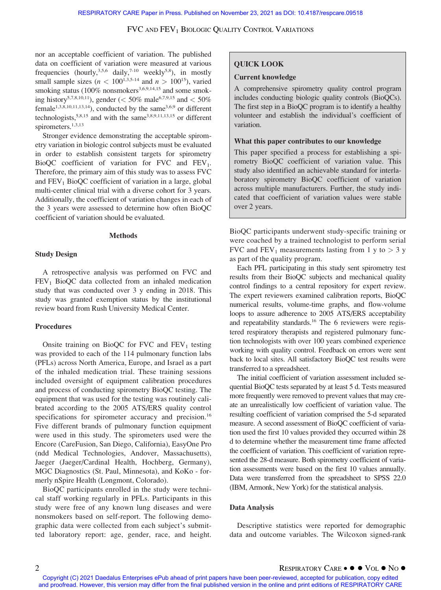nor an acceptable coefficient of variation. The published data on coefficient of variation were measured at various frequencies (hourly,<sup>3,5,6</sup> daily,<sup>7-10</sup> weekly<sup>5,8</sup>), in mostly small sample sizes ( $n < 100^{1,3,5-14}$  and  $n > 100^{15}$ ), varied smoking status (100% nonsmokers<sup>3,6,9,14,15</sup> and some smoking history<sup>5,7,8,10,11</sup>), gender (< 50% male<sup>6,7,9,15</sup> and < 50% female<sup>1,3,8,10,11,13,14</sup>), conducted by the same<sup>3,6,9</sup> or different technologists,<sup>5,8,15</sup> and with the same<sup>3,8,9,11,13,15</sup> or different spirometers. $1,3,13$ 

Stronger evidence demonstrating the acceptable spirometry variation in biologic control subjects must be evaluated in order to establish consistent targets for spirometry BioQC coefficient of variation for FVC and  $FEV<sub>1</sub>$ . Therefore, the primary aim of this study was to assess FVC and  $FEV<sub>1</sub> BioQC coefficient of variation in a large, global$ multi-center clinical trial with a diverse cohort for 3 years. Additionally, the coefficient of variation changes in each of the 3 years were assessed to determine how often BioQC coefficient of variation should be evaluated.

#### Methods

### Study Design

A retrospective analysis was performed on FVC and  $FEV<sub>1</sub> BioQC$  data collected from an inhaled medication study that was conducted over 3 y ending in 2018. This study was granted exemption status by the institutional review board from Rush University Medical Center.

### Procedures

Onsite training on BioQC for FVC and  $FEV<sub>1</sub>$  testing was provided to each of the 114 pulmonary function labs (PFLs) across North America, Europe, and Israel as a part of the inhaled medication trial. These training sessions included oversight of equipment calibration procedures and process of conducting spirometry BioQC testing. The equipment that was used for the testing was routinely calibrated according to the 2005 ATS/ERS quality control specifications for spirometer accuracy and precision.<sup>16</sup> Five different brands of pulmonary function equipment were used in this study. The spirometers used were the Encore (CareFusion, San Diego, California), EasyOne Pro (ndd Medical Technologies, Andover, Massachusetts), Jaeger (Jaeger/Cardinal Health, Hochberg, Germany), MGC Diagnostics (St. Paul, Minnesota), and KoKo - formerly nSpire Health (Longmont, Colorado).

BioQC participants enrolled in the study were technical staff working regularly in PFLs. Participants in this study were free of any known lung diseases and were nonsmokers based on self-report. The following demographic data were collected from each subject's submitted laboratory report: age, gender, race, and height.

# QUICK LOOK

### Current knowledge

A comprehensive spirometry quality control program includes conducting biologic quality controls (BioQCs). The first step in a BioQC program is to identify a healthy volunteer and establish the individual's coefficient of variation.

### What this paper contributes to our knowledge

This paper specified a process for establishing a spirometry BioQC coefficient of variation value. This study also identified an achievable standard for interlaboratory spirometry BioQC coefficient of variation across multiple manufacturers. Further, the study indicated that coefficient of variation values were stable over 2 years.

BioQC participants underwent study-specific training or were coached by a trained technologist to perform serial FVC and FEV<sub>1</sub> measurements lasting from 1 y to  $>$  3 y as part of the quality program.

Each PFL participating in this study sent spirometry test results from their BioQC subjects and mechanical quality control findings to a central repository for expert review. The expert reviewers examined calibration reports, BioQC numerical results, volume-time graphs, and flow-volume loops to assure adherence to 2005 ATS/ERS acceptability and repeatability standards.<sup>16</sup> The 6 reviewers were registered respiratory therapists and registered pulmonary function technologists with over 100 years combined experience working with quality control. Feedback on errors were sent back to local sites. All satisfactory BioQC test results were transferred to a spreadsheet.

The initial coefficient of variation assessment included sequential BioQC tests separated by at least 5 d. Tests measured more frequently were removed to prevent values that may create an unrealistically low coefficient of variation value. The resulting coefficient of variation comprised the 5-d separated measure. A second assessment of BioQC coefficient of variation used the first 10 values provided they occurred within 28 d to determine whether the measurement time frame affected the coefficient of variation. This coefficient of variation represented the 28-d measure. Both spirometry coefficient of variation assessments were based on the first 10 values annually. Data were transferred from the spreadsheet to SPSS 22.0 (IBM, Armonk, New York) for the statistical analysis.

#### Data Analysis

Descriptive statistics were reported for demographic data and outcome variables. The Wilcoxon signed-rank

<sup>2</sup> RESPIRATORY CARE VOL NO Copyright (C) 2021 Daedalus Enterprises ePub ahead of print papers have been peer-reviewed, accepted for publication, copy edited and proofread. However, this version may differ from the final published version in the online and print editions of RESPIRATORY CARE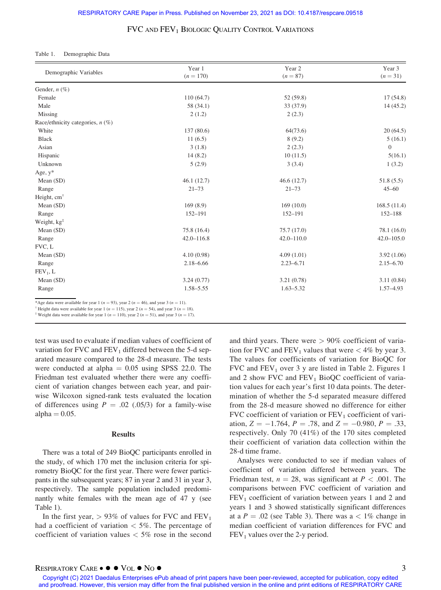#### Table 1. Demographic Data

| Demographic Variables                                                                           | Year 1<br>$(n = 170)$ | Year 2<br>$(n = 87)$ | Year 3<br>$(n = 31)$ |
|-------------------------------------------------------------------------------------------------|-----------------------|----------------------|----------------------|
| Gender, $n$ (%)                                                                                 |                       |                      |                      |
| Female                                                                                          | 110(64.7)             | 52(59.8)             | 17(54.8)             |
| Male                                                                                            | 58 (34.1)             | 33 (37.9)            | 14(45.2)             |
| Missing                                                                                         | 2(1.2)                | 2(2.3)               |                      |
| Race/ethnicity categories, $n$ (%)                                                              |                       |                      |                      |
| White                                                                                           | 137 (80.6)            | 64(73.6)             | 20(64.5)             |
| <b>Black</b>                                                                                    | 11(6.5)               | 8(9.2)               | 5(16.1)              |
| Asian                                                                                           | 3(1.8)                | 2(2.3)               | $\mathbf{0}$         |
| Hispanic                                                                                        | 14(8.2)               | 10(11.5)             | 5(16.1)              |
| Unknown                                                                                         | 5(2.9)                | 3(3.4)               | 1(3.2)               |
| Age, $y^*$                                                                                      |                       |                      |                      |
| Mean (SD)                                                                                       | 46.1(12.7)            | 46.6(12.7)           | 51.8(5.5)            |
| Range                                                                                           | $21 - 73$             | $21 - 73$            | $45 - 60$            |
| Height, cm <sup>+</sup>                                                                         |                       |                      |                      |
| Mean (SD)                                                                                       | 169(8.9)              | 169(10.0)            | 168.5(11.4)          |
| Range                                                                                           | 152-191               | 152-191              | 152-188              |
| Weight, $kg^{\ddagger}$                                                                         |                       |                      |                      |
| Mean (SD)                                                                                       | 75.8 (16.4)           | 75.7 (17.0)          | 78.1 (16.0)          |
| Range                                                                                           | $42.0 - 116.8$        | $42.0 - 110.0$       | $42.0 - 105.0$       |
| FVC, L                                                                                          |                       |                      |                      |
| Mean (SD)                                                                                       | 4.10(0.98)            | 4.09(1.01)           | 3.92(1.06)           |
| Range                                                                                           | $2.18 - 6.66$         | $2.23 - 6.71$        | $2.15 - 6.70$        |
| $FEV1$ , L                                                                                      |                       |                      |                      |
| Mean (SD)                                                                                       | 3.24(0.77)            | 3.21(0.78)           | 3.11(0.84)           |
| Range                                                                                           | $1.58 - 5.55$         | $1.63 - 5.32$        | 1.57-4.93            |
| *Age data were available for year 1 ( $n = 93$ ), year 2 ( $n = 46$ ), and year 3 ( $n = 11$ ). |                       |                      |                      |

<sup>†</sup> Height data were available for year 1 (*n* = 115), year 2 (*n* = 54), and year 3 (*n* = 18).<br><sup>‡</sup> Weight data were available for year 1 (*n* = 110), year 2 (*n* = 51), and year 3 (*n* = 17).

test was used to evaluate if median values of coefficient of variation for FVC and  $FEV_1$  differed between the 5-d separated measure compared to the 28-d measure. The tests were conducted at alpha  $= 0.05$  using SPSS 22.0. The Friedman test evaluated whether there were any coefficient of variation changes between each year, and pairwise Wilcoxon signed-rank tests evaluated the location of differences using  $P = .02$  (.05/3) for a family-wise alpha  $= 0.05$ .

#### Results

There was a total of 249 BioQC participants enrolled in the study, of which 170 met the inclusion criteria for spirometry BioQC for the first year. There were fewer participants in the subsequent years; 87 in year 2 and 31 in year 3, respectively. The sample population included predominantly white females with the mean age of 47 y (see Table 1).

In the first year,  $> 93\%$  of values for FVC and FEV<sub>1</sub> had a coefficient of variation  $<$  5%. The percentage of coefficient of variation values  $< 5\%$  rose in the second and third years. There were  $> 90\%$  coefficient of variation for FVC and FEV<sub>1</sub> values that were  $<$  4% by year 3. The values for coefficients of variation for BioQC for FVC and  $FEV_1$  over 3 y are listed in Table 2. Figures 1 and 2 show FVC and  $FEV<sub>1</sub> BioQC coefficient of varia$ tion values for each year's first 10 data points. The determination of whether the 5-d separated measure differed from the 28-d measure showed no difference for either FVC coefficient of variation or  $FEV<sub>1</sub>$  coefficient of variation,  $Z = -1.764$ ,  $P = .78$ , and  $Z = -0.980$ ,  $P = .33$ , respectively. Only 70 (41%) of the 170 sites completed their coefficient of variation data collection within the 28-d time frame.

Analyses were conducted to see if median values of coefficient of variation differed between years. The Friedman test,  $n = 28$ , was significant at  $P < .001$ . The comparisons between FVC coefficient of variation and  $FEV<sub>1</sub> coefficient of variation between years 1 and 2 and$ years 1 and 3 showed statistically significant differences at a  $P = .02$  (see Table 3). There was a  $\lt 1\%$  change in median coefficient of variation differences for FVC and  $FEV<sub>1</sub>$  values over the 2-y period.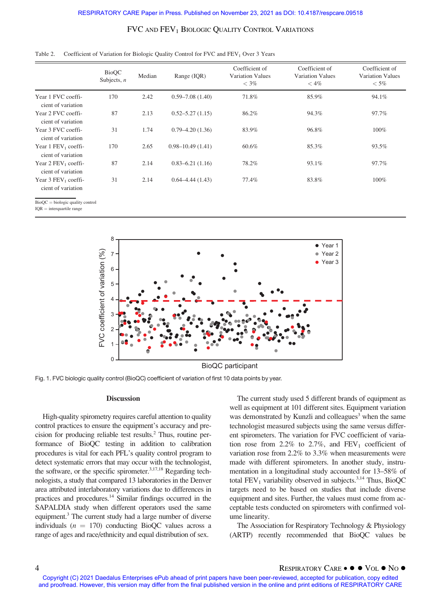| Table 2. Coefficient of Variation for Biologic Quality Control for FVC and FEV <sub>1</sub> Over 3 Years |  |  |
|----------------------------------------------------------------------------------------------------------|--|--|
|----------------------------------------------------------------------------------------------------------|--|--|

|                                                         | <b>BioQC</b><br>Subjects, $n$ | Median | Range (IQR)          | Coefficient of<br><b>Variation Values</b><br>$<$ 3% | Coefficient of<br>Variation Values<br>$<$ 4% | Coefficient of<br><b>Variation Values</b><br>$<$ 5% |
|---------------------------------------------------------|-------------------------------|--------|----------------------|-----------------------------------------------------|----------------------------------------------|-----------------------------------------------------|
| Year 1 FVC coeffi-<br>cient of variation                | 170                           | 2.42   | $0.59 - 7.08(1.40)$  | 71.8%                                               | 85.9%                                        | 94.1%                                               |
| Year 2 FVC coeffi-<br>cient of variation                | 87                            | 2.13   | $0.52 - 5.27(1.15)$  | 86.2%                                               | 94.3%                                        | 97.7%                                               |
| Year 3 FVC coeffi-<br>cient of variation                | 31                            | 1.74   | $0.79 - 4.20(1.36)$  | 83.9%                                               | 96.8%                                        | $100\%$                                             |
| Year $1$ FEV <sub>1</sub> coeffi-<br>cient of variation | 170                           | 2.65   | $0.98 - 10.49(1.41)$ | 60.6%                                               | 85.3%                                        | 93.5%                                               |
| Year $2$ FEV <sub>1</sub> coeffi-<br>cient of variation | 87                            | 2.14   | $0.83 - 6.21(1.16)$  | 78.2%                                               | 93.1%                                        | 97.7%                                               |
| Year $3$ FEV <sub>1</sub> coeffi-<br>cient of variation | 31                            | 2.14   | $0.64 - 4.44(1.43)$  | 77.4%                                               | 83.8%                                        | $100\%$                                             |

 $BioQC = biologic$  quality control

 $IQR =$  interquartile range

BioQC participant

Fig. 1. FVC biologic quality control (BioQC) coefficient of variation of first 10 data points by year.

#### **Discussion**

High-quality spirometry requires careful attention to quality control practices to ensure the equipment's accuracy and precision for producing reliable test results.2 Thus, routine performance of BioQC testing in addition to calibration procedures is vital for each PFL's quality control program to detect systematic errors that may occur with the technologist, the software, or the specific spirometer.<sup>3,17,18</sup> Regarding technologists, a study that compared 13 laboratories in the Denver area attributed interlaboratory variations due to differences in practices and procedures.<sup>14</sup> Similar findings occurred in the SAPALDIA study when different operators used the same equipment.<sup>3</sup> The current study had a large number of diverse individuals ( $n = 170$ ) conducting BioQC values across a range of ages and race/ethnicity and equal distribution of sex.

The current study used 5 different brands of equipment as well as equipment at 101 different sites. Equipment variation was demonstrated by Kunzli and colleagues<sup>3</sup> when the same technologist measured subjects using the same versus different spirometers. The variation for FVC coefficient of variation rose from 2.2% to 2.7%, and  $FEV_1$  coefficient of variation rose from 2.2% to 3.3% when measurements were made with different spirometers. In another study, instrumentation in a longitudinal study accounted for 13–58% of total  $FEV<sub>1</sub>$  variability observed in subjects.<sup>3,14</sup> Thus, BioQC targets need to be based on studies that include diverse equipment and sites. Further, the values must come from acceptable tests conducted on spirometers with confirmed volume linearity.

The Association for Respiratory Technology & Physiology (ARTP) recently recommended that BioQC values be

4 RESPIRATORY CARE ● ● VOL ● NO ●<br>Copyright (C) 2021 Daedalus Enterprises ePub ahead of print papers have been peer-reviewed, accepted for publication, copy edited and proofread. However, this version may differ from the final published version in the online and print editions of RESPIRATORY CARE

<sup>8</sup> • Year 1 FVC coefficient of variation (%) FVC coefficient of variation (%) 7 Year 2 Year 3 6 5 4 3 2 1 0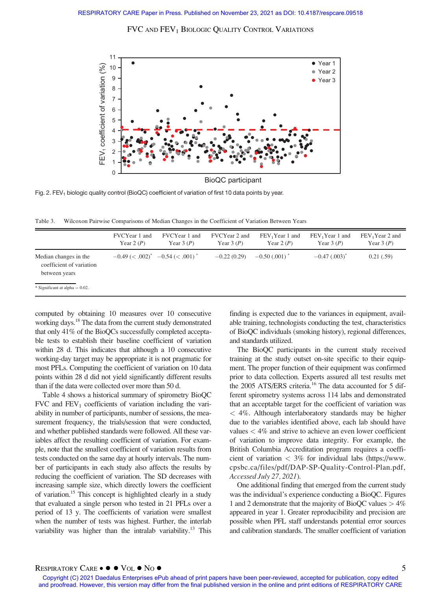

Fig. 2. FEV<sub>1</sub> biologic quality control (BioQC) coefficient of variation of first 10 data points by year.

Table 3. Wilcoxon Pairwise Comparisons of Median Changes in the Coefficient of Variation Between Years

|                                                                    | FVCYear 1 and<br>Year $2(P)$    | FVCYear 1 and<br>Year $3(P)$ | FVCYear 2 and<br>Year $3(P)$ | FEV <sub>1</sub> Year 1 and<br>Year 2 $(P)$ | FEV <sub>1</sub> Year 1 and<br>Year $3(P)$ | FEV <sub>1</sub> Year 2 and<br>Year $3(P)$ |
|--------------------------------------------------------------------|---------------------------------|------------------------------|------------------------------|---------------------------------------------|--------------------------------------------|--------------------------------------------|
| Median changes in the<br>coefficient of variation<br>between years | $-0.49 \leq 0.002$ <sup>*</sup> | $-0.54 \leq 0.001$           | $-0.22(0.29)$                | $-0.50(0.001)$                              | $-0.47$ (.003) <sup>*</sup>                | 0.21(.59)                                  |
| * Significant at alpha = $0.02$ .                                  |                                 |                              |                              |                                             |                                            |                                            |

computed by obtaining 10 measures over 10 consecutive working days.<sup>18</sup> The data from the current study demonstrated that only 41% of the BioQCs successfully completed acceptable tests to establish their baseline coefficient of variation within 28 d. This indicates that although a 10 consecutive working-day target may be appropriate it is not pragmatic for most PFLs. Computing the coefficient of variation on 10 data points within 28 d did not yield significantly different results than if the data were collected over more than 50 d.

Table 4 shows a historical summary of spirometry BioQC FVC and  $FEV<sub>1</sub>$  coefficients of variation including the variability in number of participants, number of sessions, the measurement frequency, the trials/session that were conducted, and whether published standards were followed. All these variables affect the resulting coefficient of variation. For example, note that the smallest coefficient of variation results from tests conducted on the same day at hourly intervals. The number of participants in each study also affects the results by reducing the coefficient of variation. The SD decreases with increasing sample size, which directly lowers the coefficient of variation.15 This concept is highlighted clearly in a study that evaluated a single person who tested in 21 PFLs over a period of 13 y. The coefficients of variation were smallest when the number of tests was highest. Further, the interlab variability was higher than the intralab variability.<sup>13</sup> This finding is expected due to the variances in equipment, available training, technologists conducting the test, characteristics of BioQC individuals (smoking history), regional differences, and standards utilized.

The BioQC participants in the current study received training at the study outset on-site specific to their equipment. The proper function of their equipment was confirmed prior to data collection. Experts assured all test results met the 2005 ATS/ERS criteria.<sup>16</sup> The data accounted for 5 different spirometry systems across 114 labs and demonstrated that an acceptable target for the coefficient of variation was < 4%. Although interlaboratory standards may be higher due to the variables identified above, each lab should have values < 4% and strive to achieve an even lower coefficient of variation to improve data integrity. For example, the British Columbia Accreditation program requires a coefficient of variation  $\langle 3\%$  for individual labs ([https://www.](https://www.cpsbc.ca/files/pdf/DAP-SP-Quality-Control-Plan.pdf) [cpsbc.ca/files/pdf/DAP-SP-Quality-Control-Plan.pdf](https://www.cpsbc.ca/files/pdf/DAP-SP-Quality-Control-Plan.pdf), Accessed July 27, 2021).

One additional finding that emerged from the current study was the individual's experience conducting a BioQC. Figures 1 and 2 demonstrate that the majority of BioQC values  $> 4\%$ appeared in year 1. Greater reproducibility and precision are possible when PFL staff understands potential error sources and calibration standards. The smaller coefficient of variation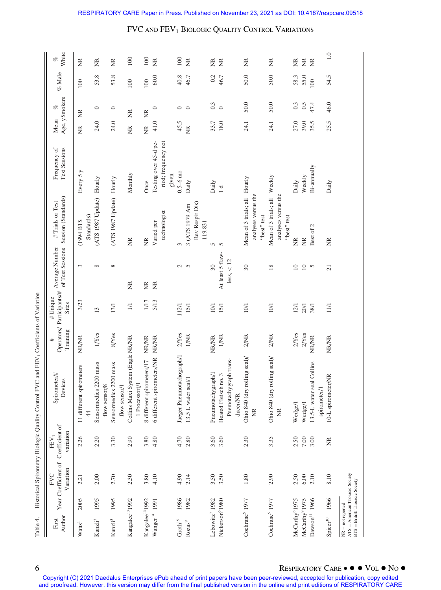| Author<br>First                                                                              |      | Year Coefficient of Coefficient of<br>Variation<br><b>FVC</b> | variation<br>${\rm FEV}_1$ | Spirometer/#<br>Devices                            | Training<br># | # Unique<br>Sites | of Test Sessions<br>Operators/ Participants/# Average Number | Session (Standards)<br>#Trials or Test | <b>Test Sessions</b><br>Frequency of         | Mean | Age, ySmokers<br>$\mathcal{C}$ | % Male | White<br>of        |
|----------------------------------------------------------------------------------------------|------|---------------------------------------------------------------|----------------------------|----------------------------------------------------|---------------|-------------------|--------------------------------------------------------------|----------------------------------------|----------------------------------------------|------|--------------------------------|--------|--------------------|
| Watts <sup>1</sup>                                                                           | 2005 | 2.21                                                          | 2.26                       | 11 different spirometers<br>$\frac{4}{3}$          | NR/NR         | 3/23              | 3                                                            | Standards)<br>(1994 BTS                | Every 5 y                                    | Ĕ    | Ĕ                              | 100    | Ĕ                  |
| $\mathrm{Kunzli}^3$                                                                          | 1995 | 2.00                                                          | 2.20                       | Sensormedics 2200 mass<br>flow sensor/8            | 1/Yes         | 13                | $\infty$                                                     | (ATS 1987 Update) Hourly               |                                              | 24.0 | $\circ$                        | 53.8   | g                  |
| $\rm Kunzli^3$                                                                               | 1995 | 2.70                                                          | 3.30                       | Sensormedics 2200 mass<br>flow sensor/1            | 8/Yes         | 13/1              | $\infty$                                                     | (ATS 1987 Update) Hourly               |                                              | 24.0 | $\circ$                        | 53.8   | Ĕ                  |
| Kangalee <sup>13</sup> 1992                                                                  |      | 2.30                                                          | 2.90                       | Collins Maxi System (Eagle NR/NR<br>1 Processor)/1 |               | 1/1               | E                                                            | Ĕ                                      | Monthly                                      | Ĕ    | Ĕ                              | 100    | 100                |
| Kangalee <sup>13</sup> 1992                                                                  |      | 3.80                                                          | 3.80                       | 8 different spirometers/17                         | <b>NR/NR</b>  | $1/17$            | $\frac{\alpha}{\beta}$                                       | $\widetilde{\Xi}$                      | Once                                         | g    | Ĕ                              | 100    | 100                |
| $\ensuremath{\text{W}}\xspace\text{anger}^{14}$                                              | 1991 | 4.10                                                          | 4.80                       | 6 different spirometers/NR                         | <b>NR/NR</b>  | 5/13              | $\widetilde{K}$                                              | technologist<br>Varied per             | Testing over 45-d pe-<br>riod; frequency not | 41.0 | $\circ$                        | 60.0   | $\frac{\alpha}{2}$ |
|                                                                                              |      |                                                               |                            |                                                    |               |                   |                                                              |                                        | given                                        |      |                                |        |                    |
| $\mbox{Groth}^{15}$                                                                          | 1986 | 4.90                                                          | 4.70                       | Jaeger Pneumotachograph/1                          | $2N$ es       | 112/1             |                                                              | 3                                      | $0.5 - 6$ mo                                 | 45.5 | $\circ$                        | 40.8   | 100                |
| Rozas <sup>9</sup>                                                                           | 1982 | 2.14                                                          | 2.80                       | 13.5 L water seal/1                                | <b>I/NR</b>   | 15/1              | 2<br>2                                                       | 3 (ATS 1979 Am                         | Daily                                        | E    | $\circ$                        | 46.7   | Ĕ                  |
|                                                                                              |      |                                                               |                            |                                                    |               |                   |                                                              | Rev Respir Dis)<br>119:831             |                                              |      |                                |        |                    |
| Lebowitz <sup>7</sup> 1982                                                                   |      | 3.50                                                          | 3.60                       | Pneumotachygraph/1                                 | <b>NR/NR</b>  | 10/1              | $\overline{30}$                                              | 5                                      | Daily                                        | 33.7 | 0.3                            | 0.2    | Ĕ                  |
| Nickerson <sup>6</sup> 1980                                                                  |      | 3.50                                                          | 3.60                       | Heated Fleisch no. 3                               | <b>I/NR</b>   | 15/1              | At least 5 flaw-                                             | $\sqrt{2}$                             | 1d                                           | 18.0 | $\circ$                        | 46.7   | E                  |
|                                                                                              |      |                                                               |                            | Pnemotachygraph trans-<br>ducer/NR                 |               |                   | less, < 12                                                   |                                        |                                              |      |                                |        |                    |
| Cochrane <sup>5</sup> 1977                                                                   |      | 1.80                                                          | 2.30                       | Ohio 840 (dry rolling seal)/                       | $2/NR$        | 10/1              | $30\,$                                                       | Mean of 3 trials; all Hourly           |                                              | 24.1 | 50.0                           | 50.0   | g                  |
|                                                                                              |      |                                                               |                            | Ĕ                                                  |               |                   |                                                              | analyses versus the<br>"best" test     |                                              |      |                                |        |                    |
| Cochrane <sup>5</sup> 1977                                                                   |      | 2.90                                                          | 3.35                       | Ohio 840 (dry rolling seal)/                       | 2/NR          | 10/1              | 18                                                           | Mean of 3 trials; all Weekly           |                                              | 24.1 | 50.0                           | 50.0   | Ĕ                  |
|                                                                                              |      |                                                               |                            | ž                                                  |               |                   |                                                              | analyses versus the<br>"best" test     |                                              |      |                                |        |                    |
| McCarthy <sup>8</sup> 1975                                                                   |      | 2.50                                                          | 2.50                       | Wedge/1                                            | $2Y$ es       | 12/1              | $\overline{10}$                                              | $\frac{R}{Z}$                          | Daily                                        | 27.0 | 0.3                            | 58.3   | Ĕ                  |
| McCarthy <sup>8</sup> 1975                                                                   |      | $6.00$                                                        | $7.00\,$                   | Wedge/1                                            | $2Y$ es       | 20/1              | $10$                                                         | $\widetilde{\Xi}$                      | Weekly                                       | 39.0 | 0.5                            | 55.0   | $\widetilde{\Xi}$  |
| $\mathbf{D}aw\mathbf{son}^{11}$                                                              | 1966 | 2.10                                                          | 3.00                       | 13.5-L water seal Collins                          | <b>NR/NR</b>  | 38/1              | $\sim$                                                       | Best of 2                              | Bi-annually                                  | 35.5 | 47.4                           | 100    | $\frac{\alpha}{2}$ |
|                                                                                              |      |                                                               |                            | spirometer/1                                       |               |                   |                                                              |                                        |                                              |      |                                |        |                    |
| Spicer <sup>10</sup>                                                                         | 1966 | 8.10                                                          | $\widetilde{\Xi}$          | 10-L spirometer/NR                                 | NR/NR         | $11/1$            | $\overline{21}$                                              | Ĕ                                      | Daily                                        | 25.5 | 46.0                           | 54.5   | $1.0\,$            |
| $ATS = American Thoracic Society$<br>$BTS = British Thoracic Society$<br>$NR = not reported$ |      |                                                               |                            |                                                    |               |                   |                                                              |                                        |                                              |      |                                |        |                    |

Table 4. Historical Spirometry Biologic Quality Control FVC and FEV1 Coefficients of Variation Table 4. Historical Spirometry Biologic Quality Control FVC and FEV<sub>1</sub> Coefficients of Variation

6 RESPIRATORY CARE ● ● VOL ● NO ●<br>Copyright (C) 2021 Daedalus Enterprises ePub ahead of print papers have been peer-reviewed, accepted for publication, copy edited and proofread. However, this version may differ from the final published version in the online and print editions of RESPIRATORY CARE

# FVC AND FEV<sub>1</sub> BIOLOGIC QUALITY CONTROL VARIATIONS